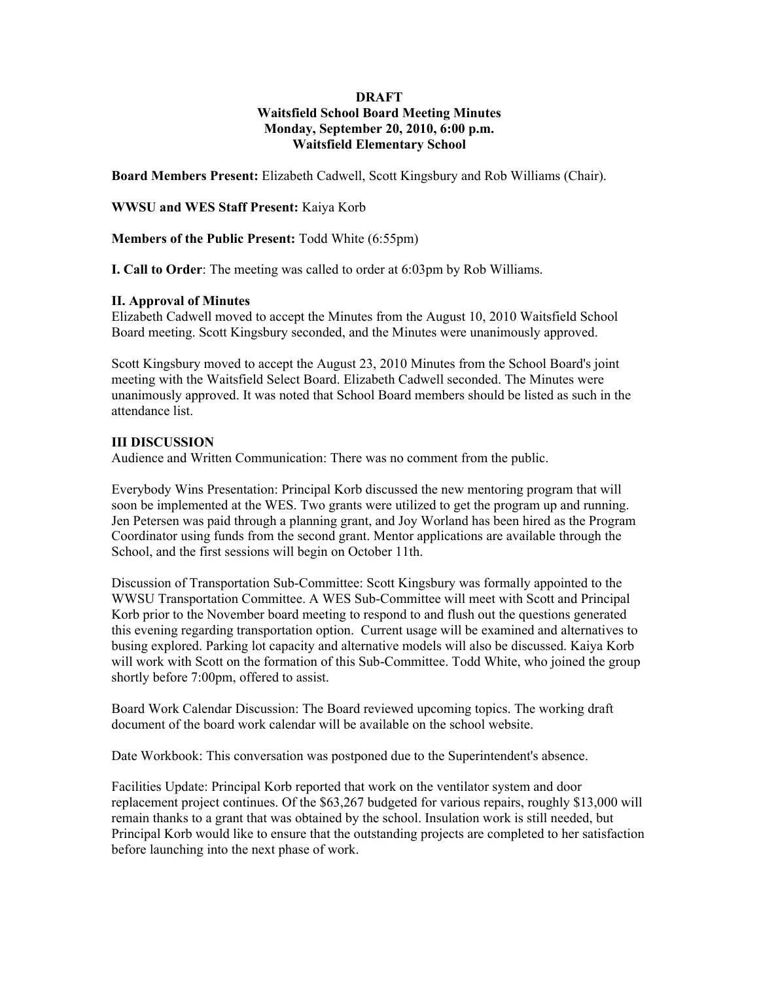### **DRAFT Waitsfield School Board Meeting Minutes Monday, September 20, 2010, 6:00 p.m. Waitsfield Elementary School**

**Board Members Present:** Elizabeth Cadwell, Scott Kingsbury and Rob Williams (Chair).

**WWSU and WES Staff Present:** Kaiya Korb

**Members of the Public Present:** Todd White (6:55pm)

**I. Call to Order**: The meeting was called to order at 6:03pm by Rob Williams.

### **II. Approval of Minutes**

Elizabeth Cadwell moved to accept the Minutes from the August 10, 2010 Waitsfield School Board meeting. Scott Kingsbury seconded, and the Minutes were unanimously approved.

Scott Kingsbury moved to accept the August 23, 2010 Minutes from the School Board's joint meeting with the Waitsfield Select Board. Elizabeth Cadwell seconded. The Minutes were unanimously approved. It was noted that School Board members should be listed as such in the attendance list.

### **III DISCUSSION**

Audience and Written Communication: There was no comment from the public.

Everybody Wins Presentation: Principal Korb discussed the new mentoring program that will soon be implemented at the WES. Two grants were utilized to get the program up and running. Jen Petersen was paid through a planning grant, and Joy Worland has been hired as the Program Coordinator using funds from the second grant. Mentor applications are available through the School, and the first sessions will begin on October 11th.

Discussion of Transportation Sub-Committee: Scott Kingsbury was formally appointed to the WWSU Transportation Committee. A WES Sub-Committee will meet with Scott and Principal Korb prior to the November board meeting to respond to and flush out the questions generated this evening regarding transportation option. Current usage will be examined and alternatives to busing explored. Parking lot capacity and alternative models will also be discussed. Kaiya Korb will work with Scott on the formation of this Sub-Committee. Todd White, who joined the group shortly before 7:00pm, offered to assist.

Board Work Calendar Discussion: The Board reviewed upcoming topics. The working draft document of the board work calendar will be available on the school website.

Date Workbook: This conversation was postponed due to the Superintendent's absence.

Facilities Update: Principal Korb reported that work on the ventilator system and door replacement project continues. Of the \$63,267 budgeted for various repairs, roughly \$13,000 will remain thanks to a grant that was obtained by the school. Insulation work is still needed, but Principal Korb would like to ensure that the outstanding projects are completed to her satisfaction before launching into the next phase of work.